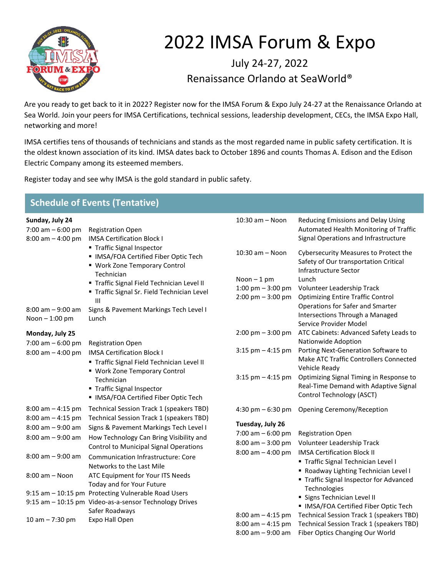

## 2022 IMSA Forum & Expo

July 24-27, 2022 Renaissance Orlando at SeaWorld®

Are you ready to get back to it in 2022? Register now for the IMSA Forum & Expo July 24-27 at the Renaissance Orlando at Sea World. Join your peers for IMSA Certifications, technical sessions, leadership development, CECs, the IMSA Expo Hall, networking and more!

IMSA certifies tens of thousands of technicians and stands as the most regarded name in public safety certification. It is the oldest known association of its kind. IMSA dates back to October 1896 and counts Thomas A. Edison and the Edison Electric Company among its esteemed members.

Register today and see why IMSA is the gold standard in public safety.

| <b>Schedule of Events (Tentative)</b>                         |                                                                                                                                                                                                                 |                                                                                                          |                                                                                                                                                |  |
|---------------------------------------------------------------|-----------------------------------------------------------------------------------------------------------------------------------------------------------------------------------------------------------------|----------------------------------------------------------------------------------------------------------|------------------------------------------------------------------------------------------------------------------------------------------------|--|
| Sunday, July 24<br>7:00 am $-6:00$ pm<br>$8:00$ am $-4:00$ pm | <b>Registration Open</b><br><b>IMSA Certification Block I</b>                                                                                                                                                   | 10:30 am - Noon                                                                                          | Reducing Emissions and Delay Using<br>Automated Health Monitoring of Traffic<br>Signal Operations and Infrastructure                           |  |
|                                                               | ■ Traffic Signal Inspector<br>• IMSA/FOA Certified Fiber Optic Tech<br>• Work Zone Temporary Control<br>Technician<br>" Traffic Signal Field Technician Level II<br>" Traffic Signal Sr. Field Technician Level | $10:30$ am $-$ Noon<br>Noon $-1$ pm<br>1:00 pm $-$ 3:00 pm                                               | Cybersecurity Measures to Protect the<br>Safety of Our transportation Critical<br>Infrastructure Sector<br>Lunch<br>Volunteer Leadership Track |  |
| $8:00$ am $-9:00$ am<br>Noon-1:00 pm                          | Ш<br>Signs & Pavement Markings Tech Level I<br>Lunch                                                                                                                                                            | $2:00$ pm $-3:00$ pm                                                                                     | <b>Optimizing Entire Traffic Control</b><br>Operations for Safer and Smarter<br>Intersections Through a Managed<br>Service Provider Model      |  |
| Monday, July 25<br>7:00 am $-6:00$ pm                         | <b>Registration Open</b>                                                                                                                                                                                        | $2:00 \text{ pm} - 3:00 \text{ pm}$                                                                      | ATC Cabinets: Advanced Safety Leads to<br>Nationwide Adoption                                                                                  |  |
| $8:00$ am $-4:00$ pm                                          | <b>IMSA Certification Block I</b><br>" Traffic Signal Field Technician Level II<br>■ Work Zone Temporary Control                                                                                                | $3:15$ pm $-4:15$ pm                                                                                     | Porting Next-Generation Software to<br>Make ATC Traffic Controllers Connected<br>Vehicle Ready                                                 |  |
|                                                               | Technician<br>■ Traffic Signal Inspector<br>• IMSA/FOA Certified Fiber Optic Tech                                                                                                                               | $3:15$ pm $-4:15$ pm                                                                                     | Optimizing Signal Timing in Response to<br>Real-Time Demand with Adaptive Signal<br>Control Technology (ASCT)                                  |  |
| $8:00$ am $-4:15$ pm<br>$8:00$ am $-4:15$ pm                  | Technical Session Track 1 (speakers TBD)<br>Technical Session Track 1 (speakers TBD)                                                                                                                            | 4:30 pm $-6:30$ pm                                                                                       | Opening Ceremony/Reception                                                                                                                     |  |
| $8:00$ am $-9:00$ am<br>8:00 am - 9:00 am                     | Signs & Pavement Markings Tech Level I<br>How Technology Can Bring Visibility and<br><b>Control to Municipal Signal Operations</b>                                                                              | Tuesday, July 26<br>7:00 am $-6:00$ pm<br>$8:00$ am $-3:00$ pm                                           | <b>Registration Open</b><br>Volunteer Leadership Track                                                                                         |  |
| $8:00$ am $-9:00$ am                                          | <b>Communication Infrastructure: Core</b><br>Networks to the Last Mile                                                                                                                                          | $8:00$ am $-4:00$ pm                                                                                     | <b>IMSA Certification Block II</b><br>Traffic Signal Technician Level I                                                                        |  |
| $8:00$ am $-$ Noon                                            | ATC Equipment for Your ITS Needs<br>Today and for Your Future                                                                                                                                                   | Roadway Lighting Technician Level I<br>Technologies<br>Signs Technician Level II<br>$8:00$ am $-4:15$ pm | Traffic Signal Inspector for Advanced                                                                                                          |  |
|                                                               | 9:15 am - 10:15 pm Protecting Vulnerable Road Users<br>9:15 am - 10:15 pm Video-as-a-sensor Technology Drives<br>Safer Roadways                                                                                 |                                                                                                          | IMSA/FOA Certified Fiber Optic Tech<br>Technical Session Track 1 (speakers TBD)                                                                |  |
| $10 am - 7:30 pm$                                             | Expo Hall Open                                                                                                                                                                                                  | $8:00$ am $-4:15$ pm<br>$8:00$ am $-9:00$ am                                                             | Technical Session Track 1 (speakers TBD)<br>Fiber Optics Changing Our World                                                                    |  |